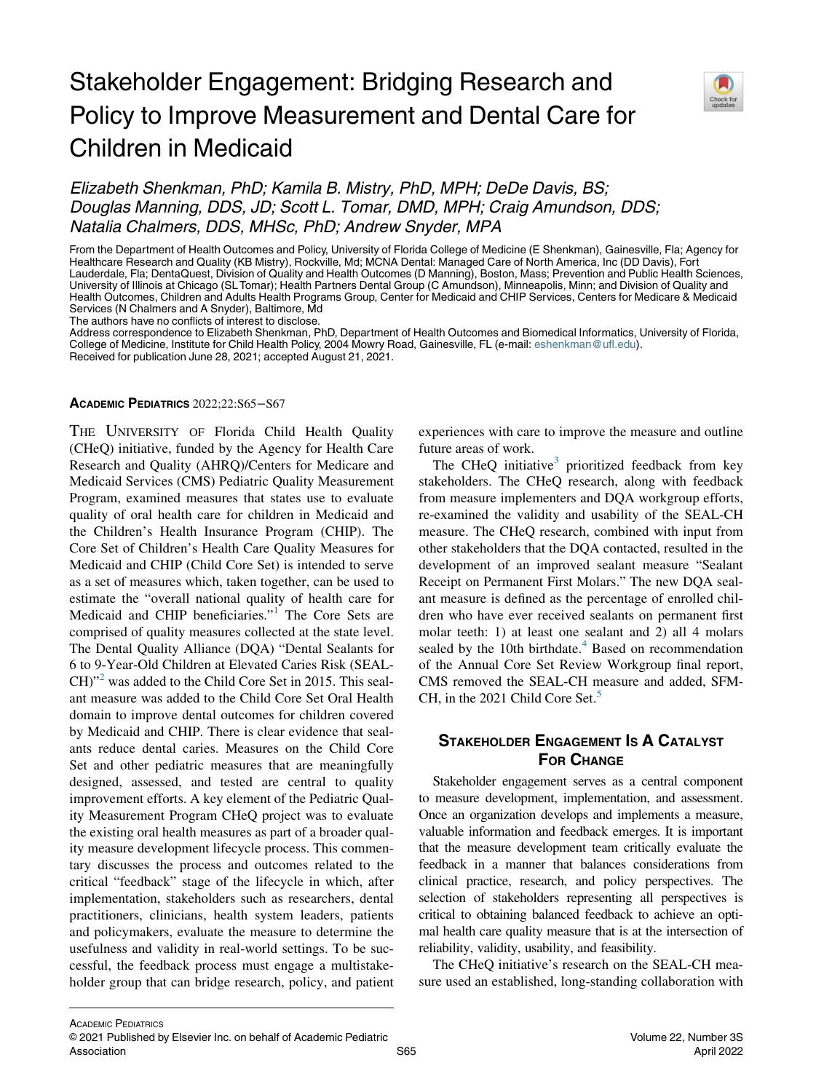# Stakeholder Engagement: Bridging Research and Policy to Improve Measurement and Dental Care for Children in Medicaid



## Elizabeth Shenkman, PhD; Kamila B. Mistry, PhD, MPH; DeDe Davis, BS; Douglas Manning, DDS, JD; Scott L. Tomar, DMD, MPH; Craig Amundson, DDS; Natalia Chalmers, DDS, MHSc, PhD; Andrew Snyder, MPA

From the Department of Health Outcomes and Policy, University of Florida College of Medicine (E Shenkman), Gainesville, Fla; Agency for Healthcare Research and Quality (KB Mistry), Rockville, Md; MCNA Dental: Managed Care of North America, Inc (DD Davis), Fort Lauderdale, Fla; DentaQuest, Division of Quality and Health Outcomes (D Manning), Boston, Mass; Prevention and Public Health Sciences, University of Illinois at Chicago (SL Tomar); Health Partners Dental Group (C Amundson), Minneapolis, Minn; and Division of Quality and Health Outcomes, Children and Adults Health Programs Group, Center for Medicaid and CHIP Services, Centers for Medicare & Medicaid Services (N Chalmers and A Snyder), Baltimore, Md

The authors have no conflicts of interest to disclose.

Address correspondence to Elizabeth Shenkman, PhD, Department of Health Outcomes and Biomedical Informatics, University of Florida, College of Medicine, Institute for Child Health Policy, 2004 Mowry Road, Gainesville, FL (e-mail: [eshenkman@ufl.edu](mailto:eshenkman@ufl.edu)). Received for publication June 28, 2021; accepted August 21, 2021.

#### ACADEMIC PEDIATRICS 2022;22:S65−S67

THE UNIVERSITY OF Florida Child Health Quality (CHeQ) initiative, funded by the Agency for Health Care Research and Quality (AHRQ)/Centers for Medicare and Medicaid Services (CMS) Pediatric Quality Measurement Program, examined measures that states use to evaluate quality of oral health care for children in Medicaid and the Children's Health Insurance Program (CHIP). The Core Set of Children's Health Care Quality Measures for Medicaid and CHIP (Child Core Set) is intended to serve as a set of measures which, taken together, can be used to estimate the "overall national quality of health care for Medicaid and CHIP beneficiaries."<sup>[1](#page-2-0)</sup> The Core Sets are comprised of quality measures collected at the state level. The Dental Quality Alliance (DQA) "Dental Sealants for 6 to 9-Year-Old Children at Elevated Caries Risk (SEAL-CH)"<sup>2</sup> was added to the Child Core Set in 2015. This sealant measure was added to the Child Core Set Oral Health domain to improve dental outcomes for children covered by Medicaid and CHIP. There is clear evidence that sealants reduce dental caries. Measures on the Child Core Set and other pediatric measures that are meaningfully designed, assessed, and tested are central to quality improvement efforts. A key element of the Pediatric Quality Measurement Program CHeQ project was to evaluate the existing oral health measures as part of a broader quality measure development lifecycle process. This commentary discusses the process and outcomes related to the critical "feedback" stage of the lifecycle in which, after implementation, stakeholders such as researchers, dental practitioners, clinicians, health system leaders, patients and policymakers, evaluate the measure to determine the usefulness and validity in real-world settings. To be successful, the feedback process must engage a multistakeholder group that can bridge research, policy, and patient

experiences with care to improve the measure and outline future areas of work.

The CHeQ initiative<sup>3</sup> prioritized feedback from key stakeholders. The CHeQ research, along with feedback from measure implementers and DQA workgroup efforts, re-examined the validity and usability of the SEAL-CH measure. The CHeQ research, combined with input from other stakeholders that the DQA contacted, resulted in the development of an improved sealant measure "Sealant Receipt on Permanent First Molars." The new DQA sealant measure is defined as the percentage of enrolled children who have ever received sealants on permanent first molar teeth: 1) at least one sealant and 2) all 4 molars sealed by the 10th birthdate. $4$  Based on recommendation of the Annual Core Set Review Workgroup final report, CMS removed the SEAL-CH measure and added, SFM-CH, in the 2021 Child Core Set.<sup>[5](#page-2-4)</sup>

## STAKEHOLDER ENGAGEMENT IS A CATALYST FOR CHANGE

Stakeholder engagement serves as a central component to measure development, implementation, and assessment. Once an organization develops and implements a measure, valuable information and feedback emerges. It is important that the measure development team critically evaluate the feedback in a manner that balances considerations from clinical practice, research, and policy perspectives. The selection of stakeholders representing all perspectives is critical to obtaining balanced feedback to achieve an optimal health care quality measure that is at the intersection of reliability, validity, usability, and feasibility.

The CHeQ initiative's research on the SEAL-CH measure used an established, long-standing collaboration with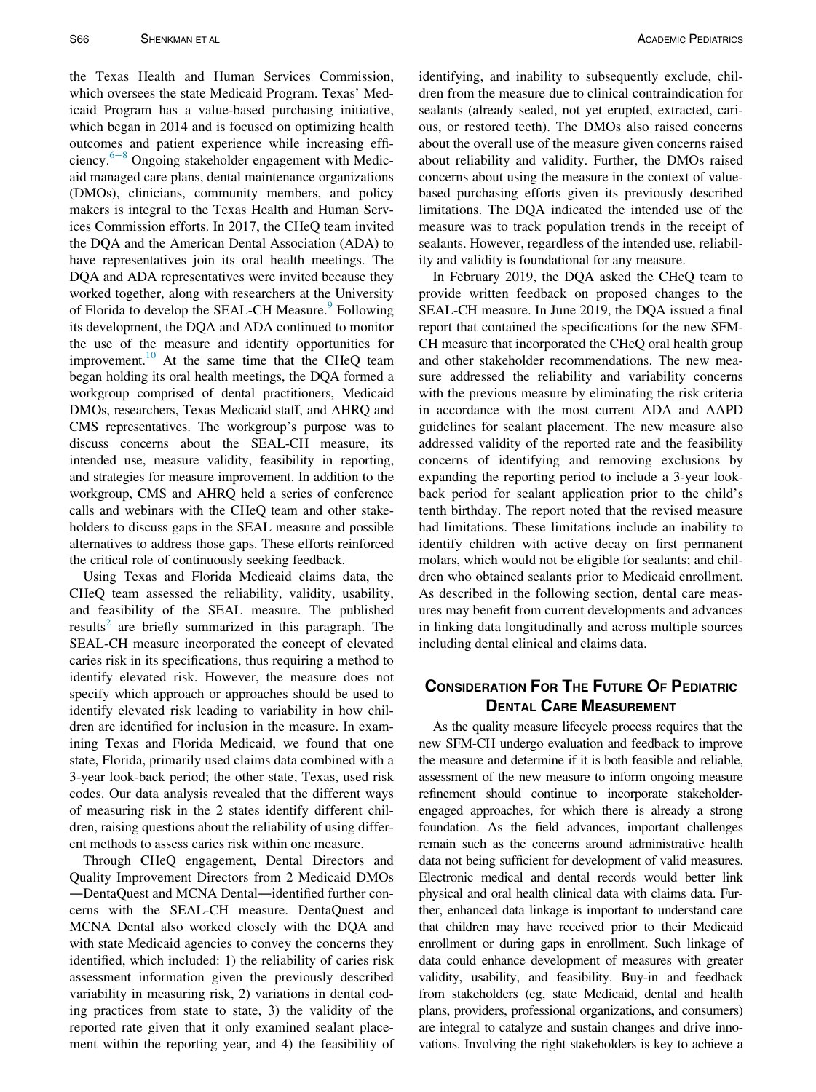the Texas Health and Human Services Commission, which oversees the state Medicaid Program. Texas' Medicaid Program has a value-based purchasing initiative, which began in 2014 and is focused on optimizing health outcomes and patient experience while increasing efficiency.6[−](#page-2-5)<sup>8</sup> Ongoing stakeholder engagement with Medicaid managed care plans, dental maintenance organizations (DMOs), clinicians, community members, and policy makers is integral to the Texas Health and Human Services Commission efforts. In 2017, the CHeQ team invited the DQA and the American Dental Association (ADA) to have representatives join its oral health meetings. The DQA and ADA representatives were invited because they worked together, along with researchers at the University of Florida to develop the SEAL-CH Measure.<sup>[9](#page-2-6)</sup> Following its development, the DQA and ADA continued to monitor the use of the measure and identify opportunities for improvement.<sup>10</sup> At the same time that the CHeQ team began holding its oral health meetings, the DQA formed a workgroup comprised of dental practitioners, Medicaid DMOs, researchers, Texas Medicaid staff, and AHRQ and CMS representatives. The workgroup's purpose was to discuss concerns about the SEAL-CH measure, its intended use, measure validity, feasibility in reporting, and strategies for measure improvement. In addition to the workgroup, CMS and AHRQ held a series of conference calls and webinars with the CHeQ team and other stakeholders to discuss gaps in the SEAL measure and possible alternatives to address those gaps. These efforts reinforced the critical role of continuously seeking feedback.

Using Texas and Florida Medicaid claims data, the CHeQ team assessed the reliability, validity, usability, and feasibility of the SEAL measure. The published results<sup>[2](#page-2-1)</sup> are briefly summarized in this paragraph. The SEAL-CH measure incorporated the concept of elevated caries risk in its specifications, thus requiring a method to identify elevated risk. However, the measure does not specify which approach or approaches should be used to identify elevated risk leading to variability in how children are identified for inclusion in the measure. In examining Texas and Florida Medicaid, we found that one state, Florida, primarily used claims data combined with a 3-year look-back period; the other state, Texas, used risk codes. Our data analysis revealed that the different ways of measuring risk in the 2 states identify different children, raising questions about the reliability of using different methods to assess caries risk within one measure.

Through CHeQ engagement, Dental Directors and Quality Improvement Directors from 2 Medicaid DMOs —DentaQuest and MCNA Dental—identified further concerns with the SEAL-CH measure. DentaQuest and MCNA Dental also worked closely with the DQA and with state Medicaid agencies to convey the concerns they identified, which included: 1) the reliability of caries risk assessment information given the previously described variability in measuring risk, 2) variations in dental coding practices from state to state, 3) the validity of the reported rate given that it only examined sealant placement within the reporting year, and 4) the feasibility of identifying, and inability to subsequently exclude, children from the measure due to clinical contraindication for sealants (already sealed, not yet erupted, extracted, carious, or restored teeth). The DMOs also raised concerns about the overall use of the measure given concerns raised about reliability and validity. Further, the DMOs raised concerns about using the measure in the context of valuebased purchasing efforts given its previously described limitations. The DQA indicated the intended use of the measure was to track population trends in the receipt of sealants. However, regardless of the intended use, reliability and validity is foundational for any measure.

In February 2019, the DQA asked the CHeQ team to provide written feedback on proposed changes to the SEAL-CH measure. In June 2019, the DQA issued a final report that contained the specifications for the new SFM-CH measure that incorporated the CHeQ oral health group and other stakeholder recommendations. The new measure addressed the reliability and variability concerns with the previous measure by eliminating the risk criteria in accordance with the most current ADA and AAPD guidelines for sealant placement. The new measure also addressed validity of the reported rate and the feasibility concerns of identifying and removing exclusions by expanding the reporting period to include a 3-year lookback period for sealant application prior to the child's tenth birthday. The report noted that the revised measure had limitations. These limitations include an inability to identify children with active decay on first permanent molars, which would not be eligible for sealants; and children who obtained sealants prior to Medicaid enrollment. As described in the following section, dental care measures may benefit from current developments and advances in linking data longitudinally and across multiple sources including dental clinical and claims data.

## CONSIDERATION FOR THE FUTURE OF PEDIATRIC DENTAL CARE MEASUREMENT

As the quality measure lifecycle process requires that the new SFM-CH undergo evaluation and feedback to improve the measure and determine if it is both feasible and reliable, assessment of the new measure to inform ongoing measure refinement should continue to incorporate stakeholderengaged approaches, for which there is already a strong foundation. As the field advances, important challenges remain such as the concerns around administrative health data not being sufficient for development of valid measures. Electronic medical and dental records would better link physical and oral health clinical data with claims data. Further, enhanced data linkage is important to understand care that children may have received prior to their Medicaid enrollment or during gaps in enrollment. Such linkage of data could enhance development of measures with greater validity, usability, and feasibility. Buy-in and feedback from stakeholders (eg, state Medicaid, dental and health plans, providers, professional organizations, and consumers) are integral to catalyze and sustain changes and drive innovations. Involving the right stakeholders is key to achieve a